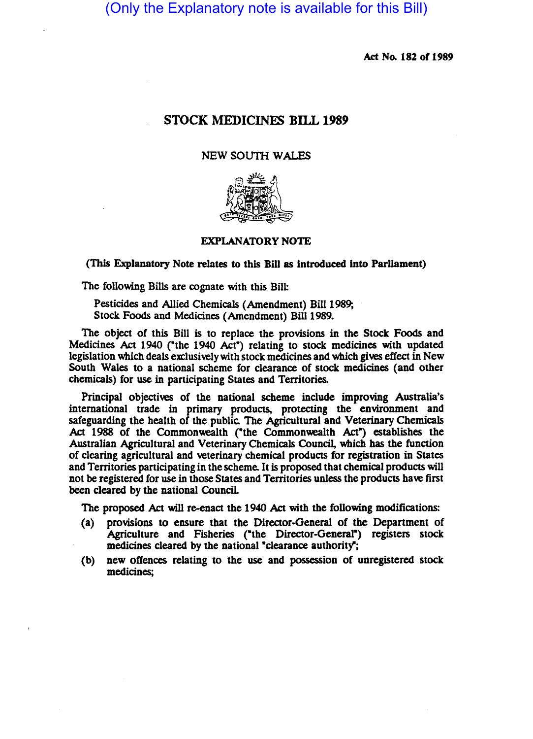(Only the Explanatory note is available for this Bill)

Act No. 182 of 1989

# STOCK MEDICINES BILL 1989

## NEW SOUTH WALES



### EXPLANATORY NOTE

(This Explanatory Note relates to this Bill as introduced into Parliament)

The following Bills are cognate with this Bill:

Pesticides and Allied Chemicals (Amendment) Bill 1989; Stock Foods and Medicines (Amendment) Bill 1989.

The object of this Bill is to replace the provisions in the Stock Foods and Medicines Act 1940 ("the 1940 Act") relating to stock medicines with updated legislation which deals exclusively with stock medicines and which gives effect in New South Wales to a national scheme for clearance of stock medicines (and other chemicals) for use in participating States and Territories.

Principal objectives of the national scheme include improving Australia's international trade in primary products, protecting the environment and safeguarding the health of the public. The Agricultural and Veterinary Chemicals Act 1988 of the Commonwealth ("the Commonwealth Act") establishes the Australian Agricultural and Veterinary Chemicals Council, which has the function of clearing agricultural and veterinary chemical products for registration in States and Territories participating in the scheme. It is proposed that chemical products will not be registered for use in those States and Territories unless the products have first been cleared by the national Council.

The proposed Act will re-enact the 1940 Act with the following modifications:

- (a) provisions to ensure that the Director-General of the Department of Agriculture and Fisheries ("the Director-General") registers stock medicines cleared by the national "clearance authority";
- (b) new offences relating to the use and possession of unregistered stock medicines;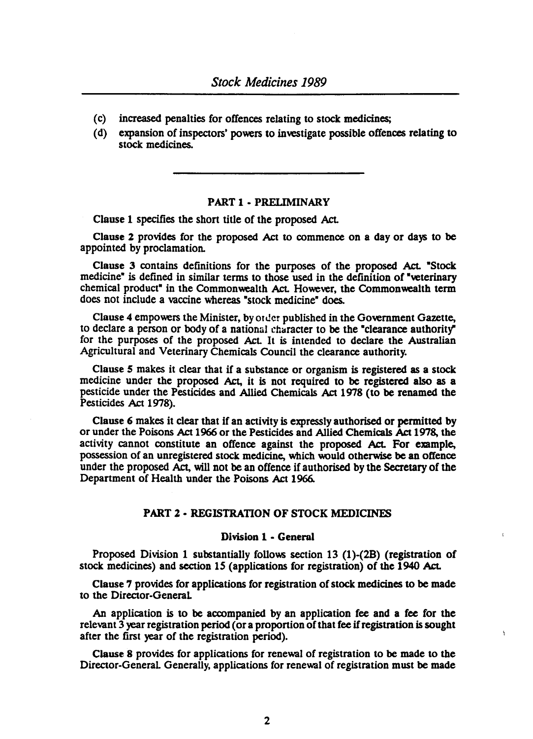- (c) increased penalties for offences relating to stock medicines;
- (d) expansion of inspectors' powers to investigate possible offences relating to stock medicines.

## PART 1 • PRELIMINARY

Clause 1 specifies the short title of the proposed Act.

Clause 2 provides for the proposed Act to commence on a day or days to be appointed by proclamation.

Clause 3 contains definitions for the purposes of the proposed Act. "Stock medicine" is defined in similar terms to those used in the definition of "veterinary chemical product" in the Commonwealth Act. However, the Commonwealth term does not include a vaccine whereas "stock medicine" does.

Clause 4 empowers the Minister, by Older published in the Government Gazette, to declare a person or body of a national character to be the "clearance authority" for the purposes of the proposed Act. It is intended to declare the Australian Agricultural and Veterinary Chemicals Council the clearance authority.

Clause 5 makes it clear that if a substance or organism is registered as a stock medicine under the proposed Act, it is not required to be registered also as a pesticide under the Pesticides and Allied Chemicals Act 1978 (to be renamed the Pesticides Act 1978).

Clause 6 makes it clear that if an activity is expressly authorised or permitted by or under the Poisons Act 1966 or the Pesticides and Allied Chemicals Act 1978, the activity cannot constitute an offence against the proposed Act. For example, possession of an unregistered stock medicine, which would otherwise be an otlence under the proposed Act, will not be an offence if authorised by the Secretary of the Depanment of Health under the Poisons Act 1966.

## PART 2 • REGISTRATION OF STOCK MEDICINES

## Division 1 • General

Proposed Division 1 substantially follows section 13 (1)-(28) (registration of stock medicines) and section 15 (applications for registration) of the 1940 Act.

Clause 7 provides for applications for registration of stock medicines to be made to the Director-General

An application is to be accompanied by an application fee and a fee for the relevant 3 year registration period (or a proponion of that fee if registration is sought after the first year of the registration period).

ÿ

Clause 8 provides for applications for renewal of registration to be made to the Director-General. Generally, applications for renewal of registration must be made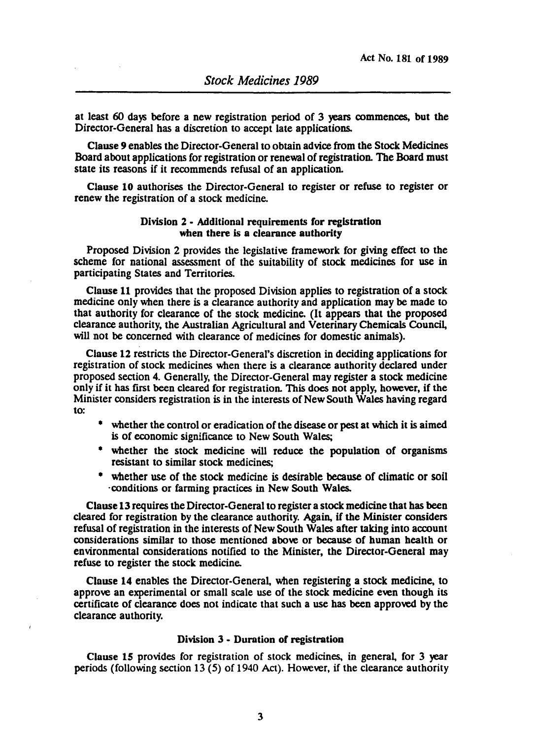at least 60 days before a new registration period of 3 years commences, but the Director-General has a discretion to accept late applications.

Clause 9 enables the Director-General to obtain advice from the Stock Medicines Board about applications for registration or renewal of registration. The Board must state its reasons if it recommends refusal of an application.

Cllause 10 authorises the Director-General to register or refuse to register or renew the registration of a stock medicine.

### Division 2 • Additional requirements for registration when there is a clearance authority

Proposed Division 2 provides the legislative framework for giving effect to the scheme for national assessment of the suitability of stock medicines for use in participating States and Territories.

Clause 11 provides that the proposed Division applies to registration of a stock medicine only when there is a clearance authority and application may be made to that authority for clearance of the stock medicine. (It appears that the proposed clearance authority, the Australian Agricultural and Veterinary Chemicals Council, will not be concerned with clearance of medicines for domestic animals).

Clause 12 restricts the Director-General's discretion in deciding applications for registration of stock medicines when there is a clearance authority declared under proposed section 4. Generally, the Director-General may register a stock medicine only if it has first been cleared for registration. This does not apply, however, if the Minister considers registration is in the interests of New South Wales having regard to:

- whether the control or eradication of the disease or pest at which it is aimed is of economic Significance to New South Wales;
- whether the stock medicine will reduce the population of organisms resistant to similar stock medicines;
- whether use of the stock medicine is desirable because of climatic or soil 'conditions or farming practices in New South Wales.

Clause 13 requires the Director-General to register a stock medicine that has been cleared for registration by the clearance authority. Again, if the Minister considers refusal of registration in the interests of New South Wales after taking into account considerations similar to those mentioned above or because of human health or environmental considerations notified to the Minister, the Director-General may refuse to register the stock medicine.

Clause 14 enables the Director-General, when registering a stock medicine, to approve an experimental or small scale use of the stock medicine even though its certlificate of clearance does not indicate that such a use has been approved by the clearance authority.

#### Division 3 • Duration of registration

Clause 15 provides for registration of stock medicines, in general, for 3 year periods (following section 13 (5) of 1940 Act). However, if the clearance authority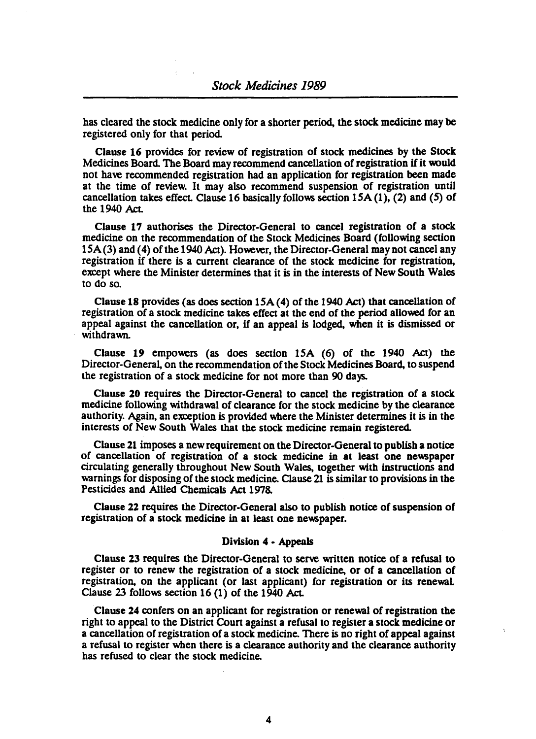has cleared the stock medicine only for a shorter period, the stock medicine may be registered only for that period.

Clause 16 provides for review of registration of stock medicines by the Stock Medicines Board. The Board may recommend cancellation of registration if it would not have recommended registration had an application for registration been made at the time of review. It may also recommend suspension of registration until cancellation takes effect. Clause 16 basically follows section  $15A(1)$ , (2) and (5) of the 1940 Act.

Clause 17 authorises the Director-General to cancel registration of a stock medicine on the recommendation of the Stock Medicines Board (following section ISA(3) and (4) of the 1940 Act). However, the Director-General may not cancel any registration if there is a current clearance of the stock medicine for registration, except where the Minister determines that it is in the interests of New South Wales to do so.

Clause 18 provides (as does section  $15A(4)$  of the 1940 Act) that cancellation of registration of a stock medicine takes effect at the end of the period allowed for an appeal against the cancellation or, if an appeal is lodged, when it is dismissed or withdrawn.

Clause 19 empowers (as does section ISA (6) of the 1940 Act) the Director-General, on the recommendation of the Stock Medicines Board, to suspend the registration of a stock medicine for not more than 90 days.

Clause 20 requires the Director-General to cancel the registration of a stock medicine following withdrawal of clearance for the stock medicine by the clearance authority. Again, an exception is provided where the Minister determines it is in the interests of New South Wales that the stock medicine remain registered.

Clause 21 imposes a new requirement on the Director-General to publish a notice of cancellation of registration of a stock medicine in at least one newspaper circulating generally throughout New South Wales, together with instructions and warnings for disposing of the stock medicine. Clause 21 is similar to provisions in the Pesticides and Allied Chemicals Act 1978.

Clause 22 requires the Director-General also to publish notice of suspension of registration of a stock medicine in at least one newspaper.

### Division 4 • Appeals

Clause 23 requires the Director-General to serve written notice of a refusal to register or to renew the registration of a stock medicine, or of a cancellation of registration, on the applicant (or last applicant) for registration or its renewaL Clause 23 follows section 16 (1) of the 1940 Act.

Clause 24 confers on an applicant for registration or renewal of registration the right to appeal to the District Court against a refusal to register a stock medicine or a cancellation of registration of a stock medicine. There is no right of appeal against a refusal to register when there is a clearance authority and the clearance authority has refused to clear the stock medicine.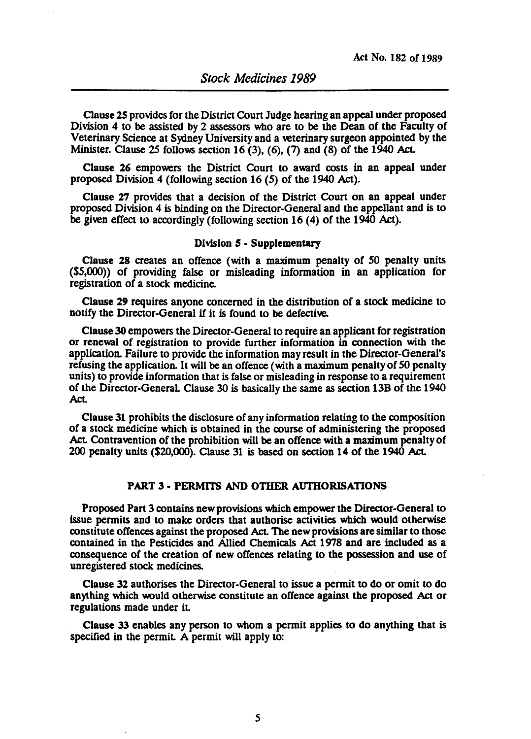Clause 25 provides for the District Court Judge hearing an appeal under proposed Division 4 to be assisted by 2 assessors who are to be the Dean of the Faculty of Veterinary Science at Sydney University and a veterinary surgeon appointed by the Minister. Clause 25 follows section 16 (3), (6), (7) and (8) of the 1940 Act.

Clause 26 empowers the District Court to award costs in an appeal under proposed Division 4 (following section 16 (5) of the 1940 Act).

Clause 27 provides that a decision of the District Court on an appeal under proposed Division 4 is binding on the Director-General and the appellant and is to be given effect to accordingly (following section 16 (4) of the 1940 Act).

### Division 5 • Supplementary

Clause 28 creates an offence (with a maximum penalty of 50 penalty units  $(S5,000)$  of providing false or misleading information in an application for registration of a stock medicine.

Clause 29 requires anyone concerned in the distribution of a stock medicine to notify the Director-General if it is found to be defective.

Clause 30 empowers the Director-General to require an applicant for registration or renewal of registration to provide further information in connection with the application. Failure to provide the information may result in the Director-General's refusing the application. It will be an offence (with a maximum penalty of *SO* penalty units) to provide information that is false or misleading in response to a requirement of the Director-General Clause 30 is basically the same as section 13B of the 1940 Act.

Clause 31 prohibits the disclosure of any information relating to the composition of a stock medicine which is obtained in the course of administering the proposed Act Contravention of the prohibition will be an offence with a maximum penalty of 200 penalty units (S20,000). Clause 31 is based on section 14 of the 1940 Act.

#### PART 3 • PERMITS AND OTHER AUTHORISATIONS

Proposed Part 3 contains new provisions which empower the Director-General to issue permits and to make orders that authorise activities which would otherwise constitute offences against the proposed Act. The new provisions are similar to those contained in the Pesticides and Allied Chemicals Act 1978 and are included as a consequence of the creation of new offences relating to the possession and use of unregistered stock medicines.

Clause 32 authorises the Director-General to issue a permit to do or omit to do anything which would otherwise constitute an offence against the proposed Act or regulations made under it

Clause 33 enables any person to whom a permit applies to do anything that is specified in the permit. A permit will apply to: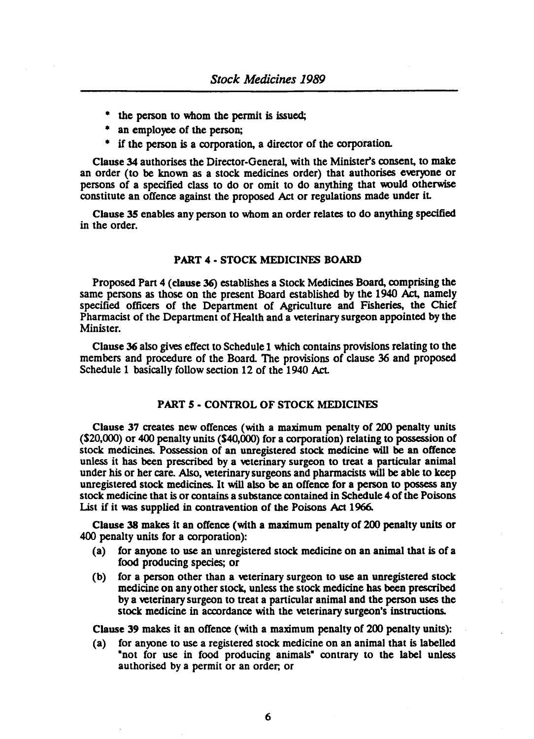- the person to whom the permit is issued;
- an employee of the person;
- if the person is a corporation, a director of the corporation.

Clause 34 authorises the Director-General, with the Minister's consent, to make an order (to be known as a stock medicines order) that authorises everyone or persons of a specified class to do or omit to do anything that would otherwise constitute an offence against the proposed Act or regulations made under it

Clause 35 enables any person to whom an order relates to do anything specified in the order.

## PART 4 - STOCK MEDICINES BOARD

Proposed Part 4 (clause 36) establishes a Stock Medicines Board, comprising the same persons as those on the present Board established by the 1940 Act, namely specified officers of the Depanment of Agriculture and Fisheries, the Chief Pharmacist of the Department of Health and a veterinary surgeon appointed by the Minister.

Clause 36 also gives effect to Schedule 1 which contains provisions relating to the members and procedure of the Board. The provisions of clause 36 and proposed Schedule 1 basically follow section 12 of the 1940 Act

### PART *5* • CONTROL OF STOCK MEDICINES

Clause 37 creates new offences (with a maximum penalty of 200 penalty units (\$20,000) or 400 penalty units (\$40,000) for a corporation) relating to possession of stock medicines. Possession of an unregistered stock medicine will be an offence unless it has been prescribed by a veterinary surgeon to treat a particular animal under his or her care. Also, veterinary surgeons and pharmacists will be able to keep unregistered stock medicines. It will also be an offence for a person to possess any stock medicine that is or contains a substance contained in Schedule 4 of the Poisons List if it was supplied in contravention of the Poisons Act 1966.

Clause 38 makes it an offence (with a maximum penalty of 200 penalty units or 400 penalty units for a corporation):

- (a) for anyone to use an unregistered stock medicine on an animal that is of a food producing species; or
- (b) for a person other than a veterinary surgeon to use an unregistered stock medicine on any other stock, unless the stock medicine has been prescribed by a veterinary surgeon to treat a panicular animal and the person uses the stock medicine in accordance with the veterinary surgeon's instructions.

Clause 39 makes it an offence (with a maximum penalty of 200 penalty units):

(a) for anyone to use a registered stock medicine on an animal that is labelled "not for use in food producing animals" contrary to the label unless authorised by a permit or an order; or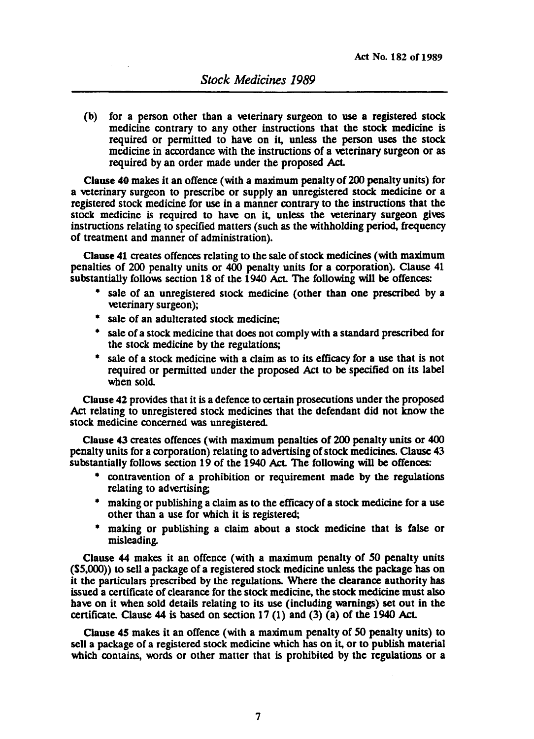(b) for a person other than a veterinary surgeon to use a registered stock medicine contrary to any other instructions that the stock medicine is required or permitted to have on it, unless the person uses the stock medicine in accordance with the instructions of a veterinary surgeon or as required by an order made under the proposed Act.

Clause 40 makes it an offence (with a maximum penalty of 200 penalty units) for a veterinary surgeon to prescribe or supply an unregistered stock medicine or a registered stock medicine for use in a manner contrary to the instructions that the stock medicine is required to have on it, unless the veterinary surgeon gives instructions relating to specified matters (such as the withholding period, frequency of treatment and manner of administration).

Clause 41 creates offences relating to the sale of stock medicines (with maximum penallties of 200 penalty units or 400 penalty units for a corporation). Clause 41 substantially follows section 18 of the 1940 Act. The following will be offences:

- sale of an unregistered stock medicine (other than one prescribed by a veterinary surgeon);
- sale of an adulterated stock medicine;
- sale of a stock medicine that does not comply with a standard prescribed for the stock medicine by the regulations;
- sale of a stock medicine with a claim as to its efficacy for a use that is not required or permitted under the proposed Act to be specified on its label when sold.

Clause 42 provides that it is a defence to certain prosecutions under the proposed Act relating to unregistered stock medicines that the defendant did not know the stock medicine concerned was unregistered.

Clause 43 creates offences (with maximum penalties of 200 penalty units or 400 penalty units for a corporation) relating to advertising of stock medicines. Clause 43 substantially follows section 19 of the 1940 Act. The following will be offences:

- contravention of a prohibition or requirement made by the regulations relating to advertising;
- making or publishing a claim as to the efficacy of a stock medicine for a use other than a use for which it is registered;
- making or publishing a claim about a stock medicine that is false or misleading.

Clause 44 makes it an offence (with a maximum penalty of 50 penalty units (\$5,000» to sell a package of a registered stock medicine unless the package has on it the paniculars prescribed by the regulations. Where the clearance authority has issued a certificate of clearance for the stock medicine, the stock medicine must also have on it when sold details relating to its use (including warnings) set out in the cenificate. Clause 44 is based on section 17 (1) and (3) (a) of the 1940 Act.

Cllause 45 makes it an offence (with a maximum penalty of 50 penalty units) to sell a package of a registered stock medicine which has on it, or to publish material which contains, words or other matter that is prohibited by the regulations or a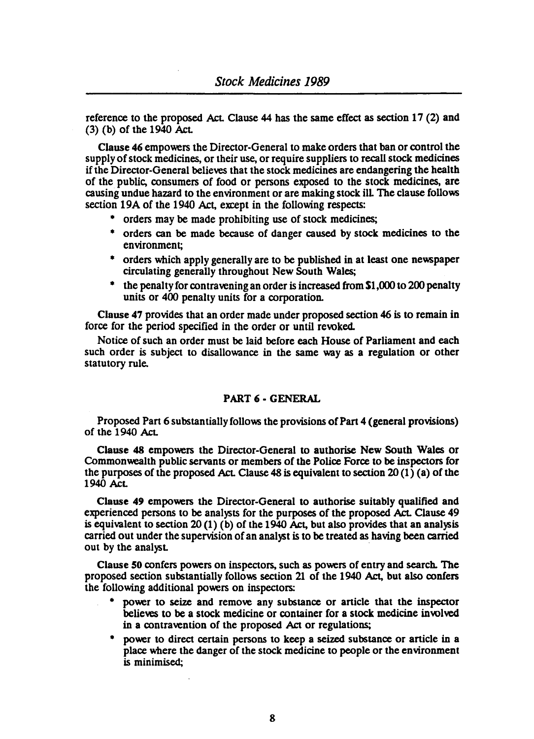reference to the proposed Act. Clause 44 has the same effect as section 17 (2) and (3) (b) of the 1940 Act

Clause 46 empowers the Director-General to make orders that ban or control the supply of stock medicines, or their use, or require suppliers to recall stock medicines if the Director-General believes that the stock medicines are endangering the health of the public, consumers of food or persons exposed to the stock medicines, are causing undue hazard to the environment or are making stock ill The clause follows section 19A of the 1940 Act, except in the following respects:

- orders may be made prohibiting use of stock medicines;
- orders can be made because of danger caused by stock medicines to the environment;
- orders which apply generally are to be published in at least one newspaper circulating generally throughout New South Wales;
- <sup>\*</sup> the penalty for contravening an order is increased from \$1,000 to 200 penalty units or 400 penalty units for a corporation.

Clause 47 provides that an order made under proposed section 46 is to remain in force for the period specified in the order or until revoked.

Notice of such an order must be laid before each House of Parliament and each such order is subject to disallowance in the same way as a regulation or other statutory rule.

## PART 6 - GENERAL

Proposed Part 6 substantially follows the provisions of Part 4 (general provisions) of the 1940 Act

Clause 48 empowers the Director-General to authorise New South Wales or Commonwealth public servants or members of the Police Force to be inspectors for the purposes of the proposed Act. Clause 48 is equivalent to section 20  $(1)$  (a) of the 1940 Act

Clause 49 empowers the Director-General to authorise suitably qualified and experienced persons to be analysts for the purposes of the proposed Act Clause 49 is equivalent to section 20 (1) (b) of the 1940 Act, but also provides that an analysis carried out under the supervision of an analyst is to be treated as having been carried out by the analyst.

Clause 50 confers powers on inspectors, such as powers of entry and search. The proposed section substantially follows section 21 of the 1940 Act, but also confers the follOwing additional powers on inspectors:

- power to seize and remove any substance or article that the inspector believes to be a stock medicine or container for a stock medicine involved in a contravention of the proposed Act or regulations;
- power to direct certain persons to keep a seized substance or article in a place where the danger of the stock medicine to people or the environment is minimised;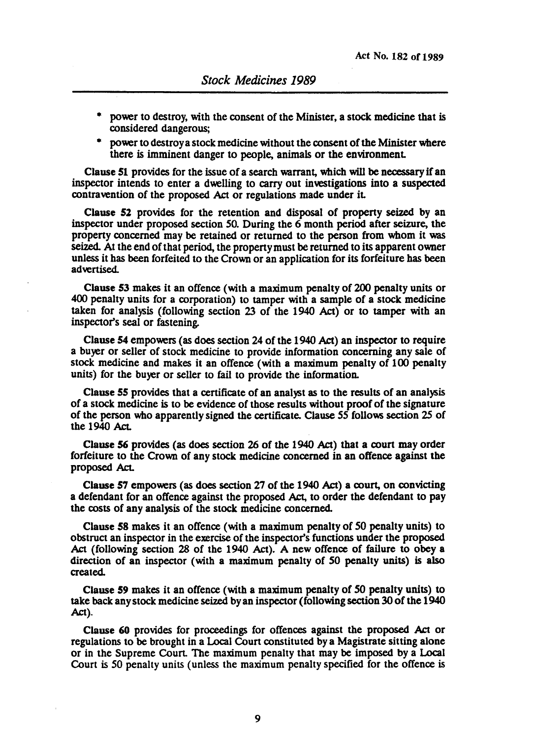- power to destroy, with the consent of the Minister, a stock medicine that is considered dangerous;
- power to destroy a stock medicine without the consent of the Minister where there is imminent danger to people, animals or the environment.

Clause 51 provides for the issue of a search warrant, which will be necessary if an inspector intends to enter a dwelling to carry out investigations into a suspected contravention of the proposed Act or regulations made under iL

Clause 52 provides for the retention and disposal of property seized by an inspector under proposed section SO. During the 6 month period after seizure, the property concerned may be retained or returned to the person from whom it was seized At the end of that period, the property must be returned to its apparent owner unless it has been forfeited to the Crown or an application for its forfeiture has been advertised.

Clause 53 makes it an offence (with a maximum penalty of 200 penalty units or 400 penalty units for a corporation) to tamper with a sample of a stock medicine taken for analysis (following section 23 of the 1940 Act) or to tamper with an inspector's seal or fastening.

Clause 54 empowers (as does section 24 of the 1940 Act) an inspector to require a buyer or seller of stock medicine to provide information concerning any sale of stock medicine and makes it an offence (with a maximum penalty of 100 penalty units) for the buyer or seller to fail to provide the information.

Cllause 55 provides that a certificate of an analyst as to the results of an analysis of a stock medicine is to be evidence of those results without proof of the signature of the person who apparently signed the certificate. Clause SS follows section 2S of the 1940 Act.

Clause 56 provides (as does section 26 of the 1940 Act) that a court may order forfeiture to the Crown of any stock medicine concerned in an offence against the proposed Act.

Clause 57 empowers (as does section 27 of the 1940 Act) a court, on convicting a defendant for an offence against the proposed Act, to order the defendant to pay the costs of any analysis of the stock medicine concerned

Cllause 58 makes it an offence (with a maximum penalty of SO penalty units) to obstruct an inspector in the exercise of the inspectOr's functions under the proposed Act (following section 28 of the 1940 Act). A new offence of failure to obey a direction of an inspector (with a maximum penalty of SO penalty units) is also created

Clause 59 makes it an offence (with a maximum penalty of SO penalty units) to take back any stock medicine seized by an inspector (following section 30 of the 1940 Act).

Clause 60 provides for proceedings for offences against the proposed Act or regulations to be brought in a Local Court constituted by a Magistrate sitting alone or in the Supreme CourL The maximum penalty that may be imposed by a Local Court is 50 penalty units (unless the maximum penalty specified for the offence is